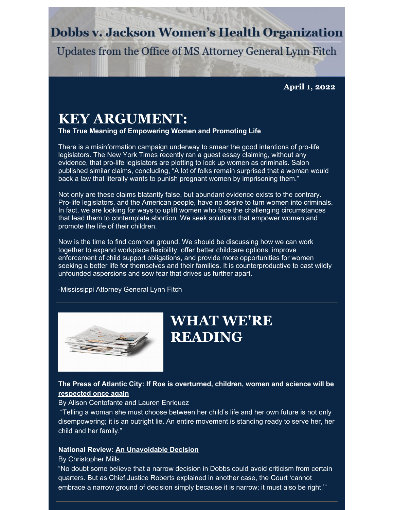## **Dobbs v. Jackson Women's Health Organization**

Updates from the Office of MS Attorney General Lynn Fitch

**April 1, 2022**

# **KEY ARGUMENT:**

**The True Meaning of Empowering Women and Promoting Life**

There is a misinformation campaign underway to smear the good intentions of pro-life legislators. The New York Times recently ran a guest essay claiming, without any evidence, that pro-life legislators are plotting to lock up women as criminals. Salon published similar claims, concluding, "A lot of folks remain surprised that a woman would back a law that literally wants to punish pregnant women by imprisoning them."

Not only are these claims blatantly false, but abundant evidence exists to the contrary. Pro-life legislators, and the American people, have no desire to turn women into criminals. In fact, we are looking for ways to uplift women who face the challenging circumstances that lead them to contemplate abortion. We seek solutions that empower women and promote the life of their children.

Now is the time to find common ground. We should be discussing how we can work together to expand workplace flexibility, offer better childcare options, improve enforcement of child support obligations, and provide more opportunities for women seeking a better life for themselves and their families. It is counterproductive to cast wildly unfounded aspersions and sow fear that drives us further apart.

-Mississippi Attorney General Lynn Fitch



# **WHAT WE'RE READING**

### **The Press of Atlantic City: If Roe is [overturned,](https://pressofatlanticcity.com/opinion/columnists/if-roe-is-overturned-children-women-and-science-will-be-respected-once-again-by-alison/article_f332f061-9487-50f7-9107-ed73310f8d68.html?fbclid=IwAR1uTr8pMGIrPJMTvgHXLjArCC7Bh05Mds1HM2qcGD7a3fGypds_zdo1R34) children, women and science will be respected once again**

#### By Alison Centofante and Lauren Enriquez

"Telling a woman she must choose between her child's life and her own future is not only disempowering; it is an outright lie. An entire movement is standing ready to serve her, her child and her family."

#### **National Review: An [Unavoidable](https://www.nationalreview.com/bench-memos/an-unavoidable-decision/) Decision**

#### By Christopher Mills

"No doubt some believe that a narrow decision in Dobbs could avoid criticism from certain quarters. But as Chief Justice Roberts explained in another case, the Court 'cannot embrace a narrow ground of decision simply because it is narrow; it must also be right.'"